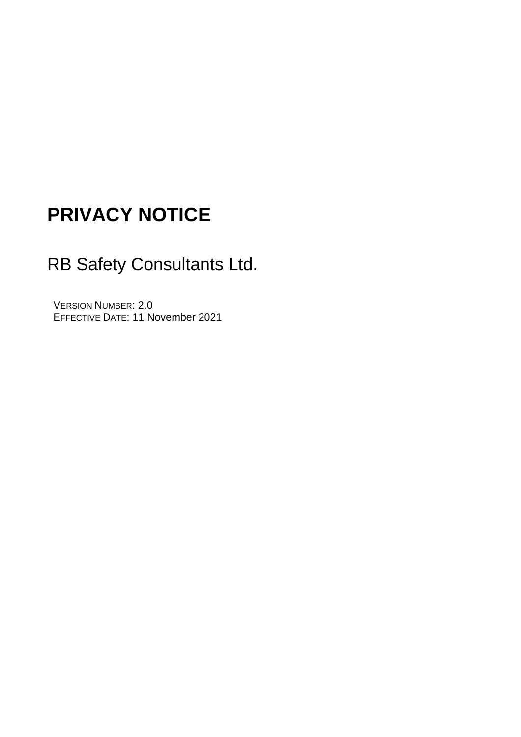# **PRIVACY NOTICE**

# RB Safety Consultants Ltd.

VERSION NUMBER: 2.0 EFFECTIVE DATE: 11 November 2021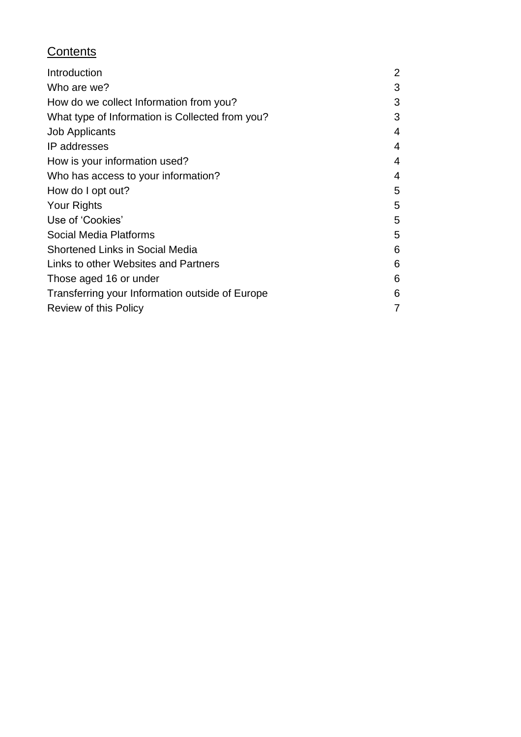#### **Contents**

| Introduction                                    | $\overline{2}$ |
|-------------------------------------------------|----------------|
| Who are we?                                     | 3              |
| How do we collect Information from you?         | 3              |
| What type of Information is Collected from you? | 3              |
| <b>Job Applicants</b>                           | 4              |
| IP addresses                                    | 4              |
| How is your information used?                   | 4              |
| Who has access to your information?             | 4              |
| How do I opt out?                               | 5              |
| <b>Your Rights</b>                              | 5              |
| Use of 'Cookies'                                | 5              |
| Social Media Platforms                          | 5              |
| <b>Shortened Links in Social Media</b>          | 6              |
| Links to other Websites and Partners            | 6              |
| Those aged 16 or under                          | 6              |
| Transferring your Information outside of Europe | 6              |
| Review of this Policy                           | 7              |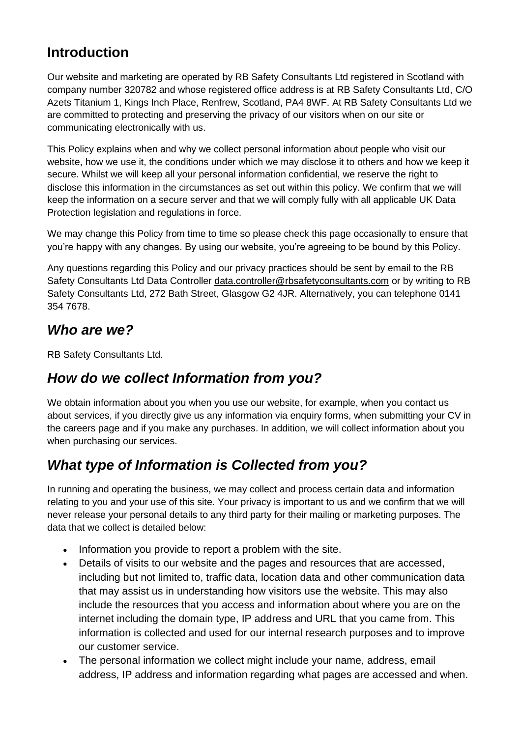#### **Introduction**

Our website and marketing are operated by RB Safety Consultants Ltd registered in Scotland with company number 320782 and whose registered office address is at RB Safety Consultants Ltd, C/O Azets Titanium 1, Kings Inch Place, Renfrew, Scotland, PA4 8WF. At RB Safety Consultants Ltd we are committed to protecting and preserving the privacy of our visitors when on our site or communicating electronically with us.

This Policy explains when and why we collect personal information about people who visit our website, how we use it, the conditions under which we may disclose it to others and how we keep it secure. Whilst we will keep all your personal information confidential, we reserve the right to disclose this information in the circumstances as set out within this policy. We confirm that we will keep the information on a secure server and that we will comply fully with all applicable UK Data Protection legislation and regulations in force.

We may change this Policy from time to time so please check this page occasionally to ensure that you're happy with any changes. By using our website, you're agreeing to be bound by this Policy.

Any questions regarding this Policy and our privacy practices should be sent by email to the RB Safety Consultants Ltd Data Controller [data.controller@rbsafetyconsultants.com](mailto:data.controller@rbsafetyconsultants.com) or by writing to RB Safety Consultants Ltd, 272 Bath Street, Glasgow G2 4JR. Alternatively, you can telephone 0141 354 7678.

#### *Who are we?*

RB Safety Consultants Ltd.

#### *How do we collect Information from you?*

We obtain information about you when you use our website, for example, when you contact us about services, if you directly give us any information via enquiry forms, when submitting your CV in the careers page and if you make any purchases. In addition, we will collect information about you when purchasing our services.

## *What type of Information is Collected from you?*

In running and operating the business, we may collect and process certain data and information relating to you and your use of this site. Your privacy is important to us and we confirm that we will never release your personal details to any third party for their mailing or marketing purposes. The data that we collect is detailed below:

- Information you provide to report a problem with the site.
- Details of visits to our website and the pages and resources that are accessed, including but not limited to, traffic data, location data and other communication data that may assist us in understanding how visitors use the website. This may also include the resources that you access and information about where you are on the internet including the domain type, IP address and URL that you came from. This information is collected and used for our internal research purposes and to improve our customer service.
- The personal information we collect might include your name, address, email address, IP address and information regarding what pages are accessed and when.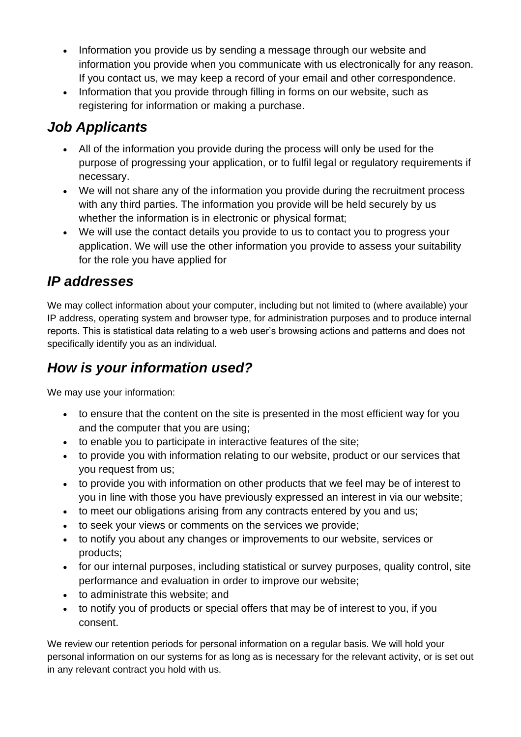- Information you provide us by sending a message through our website and information you provide when you communicate with us electronically for any reason. If you contact us, we may keep a record of your email and other correspondence.
- Information that you provide through filling in forms on our website, such as registering for information or making a purchase.

# *Job Applicants*

- All of the information you provide during the process will only be used for the purpose of progressing your application, or to fulfil legal or regulatory requirements if necessary.
- We will not share any of the information you provide during the recruitment process with any third parties. The information you provide will be held securely by us whether the information is in electronic or physical format;
- We will use the contact details you provide to us to contact you to progress your application. We will use the other information you provide to assess your suitability for the role you have applied for

## *IP addresses*

We may collect information about your computer, including but not limited to (where available) your IP address, operating system and browser type, for administration purposes and to produce internal reports. This is statistical data relating to a web user's browsing actions and patterns and does not specifically identify you as an individual.

# *How is your information used?*

We may use your information:

- to ensure that the content on the site is presented in the most efficient way for you and the computer that you are using;
- to enable you to participate in interactive features of the site;
- to provide you with information relating to our website, product or our services that you request from us;
- to provide you with information on other products that we feel may be of interest to you in line with those you have previously expressed an interest in via our website;
- to meet our obligations arising from any contracts entered by you and us;
- to seek your views or comments on the services we provide;
- to notify you about any changes or improvements to our website, services or products;
- for our internal purposes, including statistical or survey purposes, quality control, site performance and evaluation in order to improve our website;
- to administrate this website; and
- to notify you of products or special offers that may be of interest to you, if you consent.

We review our retention periods for personal information on a regular basis. We will hold your personal information on our systems for as long as is necessary for the relevant activity, or is set out in any relevant contract you hold with us.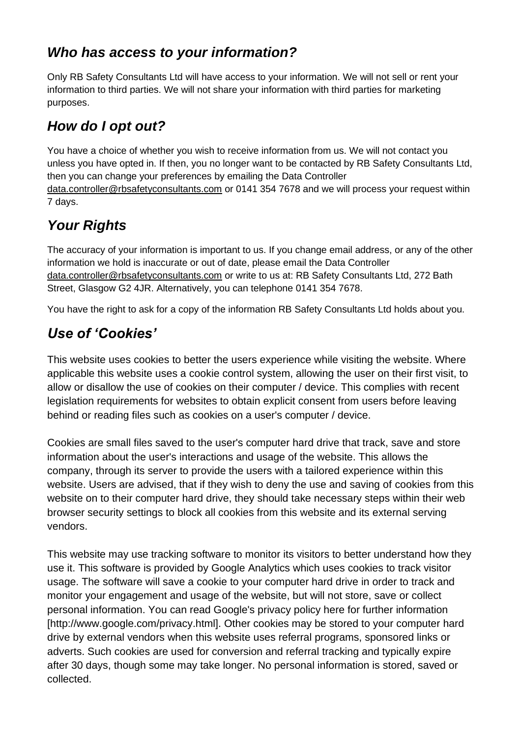#### *Who has access to your information?*

Only RB Safety Consultants Ltd will have access to your information. We will not sell or rent your information to third parties. We will not share your information with third parties for marketing purposes.

# *How do I opt out?*

You have a choice of whether you wish to receive information from us. We will not contact you unless you have opted in. If then, you no longer want to be contacted by RB Safety Consultants Ltd, then you can change your preferences by emailing the Data Controller [data.controller@rbsafetyconsultants.com](mailto:data.controller@rbsafetyconsultants.com) or 0141 354 7678 and we will process your request within 7 days.

# *Your Rights*

The accuracy of your information is important to us. If you change email address, or any of the other information we hold is inaccurate or out of date, please email the Data Controller [data.controller@rbsafetyconsultants.com](mailto:data.controller@rbsafetyconsultants.com) or write to us at: RB Safety Consultants Ltd, 272 Bath Street, Glasgow G2 4JR. Alternatively, you can telephone 0141 354 7678.

You have the right to ask for a copy of the information RB Safety Consultants Ltd holds about you.

# *Use of 'Cookies'*

This website uses cookies to better the users experience while visiting the website. Where applicable this website uses a cookie control system, allowing the user on their first visit, to allow or disallow the use of cookies on their computer / device. This complies with recent legislation requirements for websites to obtain explicit consent from users before leaving behind or reading files such as cookies on a user's computer / device.

Cookies are small files saved to the user's computer hard drive that track, save and store information about the user's interactions and usage of the website. This allows the company, through its server to provide the users with a tailored experience within this website. Users are advised, that if they wish to deny the use and saving of cookies from this website on to their computer hard drive, they should take necessary steps within their web browser security settings to block all cookies from this website and its external serving vendors.

This website may use tracking software to monitor its visitors to better understand how they use it. This software is provided by Google Analytics which uses cookies to track visitor usage. The software will save a cookie to your computer hard drive in order to track and monitor your engagement and usage of the website, but will not store, save or collect personal information. You can read Google's privacy policy here for further information [http://www.google.com/privacy.html]. Other cookies may be stored to your computer hard drive by external vendors when this website uses referral programs, sponsored links or adverts. Such cookies are used for conversion and referral tracking and typically expire after 30 days, though some may take longer. No personal information is stored, saved or collected.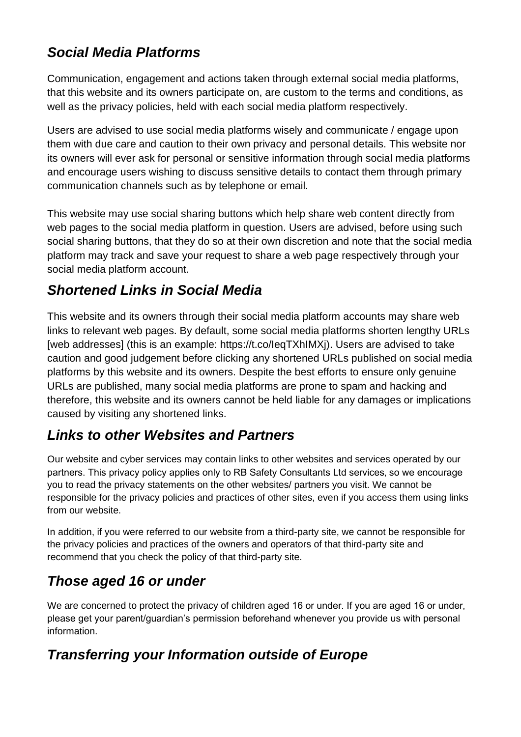### *Social Media Platforms*

Communication, engagement and actions taken through external social media platforms, that this website and its owners participate on, are custom to the terms and conditions, as well as the privacy policies, held with each social media platform respectively.

Users are advised to use social media platforms wisely and communicate / engage upon them with due care and caution to their own privacy and personal details. This website nor its owners will ever ask for personal or sensitive information through social media platforms and encourage users wishing to discuss sensitive details to contact them through primary communication channels such as by telephone or email.

This website may use social sharing buttons which help share web content directly from web pages to the social media platform in question. Users are advised, before using such social sharing buttons, that they do so at their own discretion and note that the social media platform may track and save your request to share a web page respectively through your social media platform account.

## *Shortened Links in Social Media*

This website and its owners through their social media platform accounts may share web links to relevant web pages. By default, some social media platforms shorten lengthy URLs [web addresses] (this is an example: https://t.co/leqTXhIMXj). Users are advised to take caution and good judgement before clicking any shortened URLs published on social media platforms by this website and its owners. Despite the best efforts to ensure only genuine URLs are published, many social media platforms are prone to spam and hacking and therefore, this website and its owners cannot be held liable for any damages or implications caused by visiting any shortened links.

## *Links to other Websites and Partners*

Our website and cyber services may contain links to other websites and services operated by our partners. This privacy policy applies only to RB Safety Consultants Ltd services, so we encourage you to read the privacy statements on the other websites/ partners you visit. We cannot be responsible for the privacy policies and practices of other sites, even if you access them using links from our website.

In addition, if you were referred to our website from a third-party site, we cannot be responsible for the privacy policies and practices of the owners and operators of that third-party site and recommend that you check the policy of that third-party site.

# *Those aged 16 or under*

We are concerned to protect the privacy of children aged 16 or under. If you are aged 16 or under, please get your parent/guardian's permission beforehand whenever you provide us with personal information.

# *Transferring your Information outside of Europe*